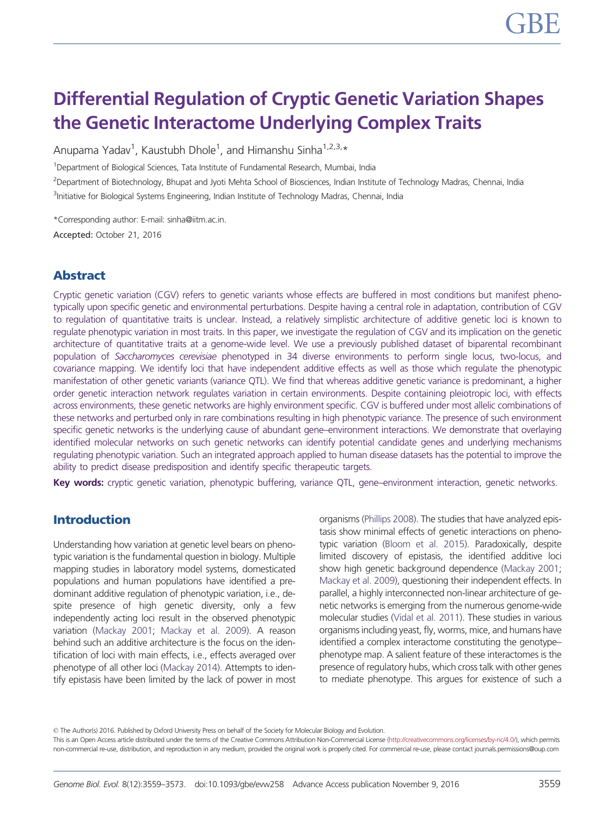# Differential Regulation of Cryptic Genetic Variation Shapes the Genetic Interactome Underlying Complex Traits

Anupama Yadav<sup>1</sup>, Kaustubh Dhole<sup>1</sup>, and Himanshu Sinha<sup>1,2,3,</sup>\*

<sup>1</sup>Department of Biological Sciences, Tata Institute of Fundamental Research, Mumbai, India

<sup>2</sup>Department of Biotechnology, Bhupat and Jyoti Mehta School of Biosciences, Indian Institute of Technology Madras, Chennai, India <sup>3</sup>Initiative for Biological Systems Engineering, Indian Institute of Technology Madras, Chennai, India

\*Corresponding author: E-mail: sinha@iitm.ac.in. Accepted: October 21, 2016

# Abstract

Cryptic genetic variation (CGV) refers to genetic variants whose effects are buffered in most conditions but manifest phenotypically upon specific genetic and environmental perturbations. Despite having a central role in adaptation, contribution of CGV to regulation of quantitative traits is unclear. Instead, a relatively simplistic architecture of additive genetic loci is known to regulate phenotypic variation in most traits. In this paper, we investigate the regulation of CGV and its implication on the genetic architecture of quantitative traits at a genome-wide level. We use a previously published dataset of biparental recombinant population of Saccharomyces cerevisiae phenotyped in 34 diverse environments to perform single locus, two-locus, and covariance mapping. We identify loci that have independent additive effects as well as those which regulate the phenotypic manifestation of other genetic variants (variance QTL). We find that whereas additive genetic variance is predominant, a higher order genetic interaction network regulates variation in certain environments. Despite containing pleiotropic loci, with effects across environments, these genetic networks are highly environment specific. CGV is buffered under most allelic combinations of these networks and perturbed only in rare combinations resulting in high phenotypic variance. The presence of such environment specific genetic networks is the underlying cause of abundant gene–environment interactions. We demonstrate that overlaying identified molecular networks on such genetic networks can identify potential candidate genes and underlying mechanisms regulating phenotypic variation. Such an integrated approach applied to human disease datasets has the potential to improve the ability to predict disease predisposition and identify specific therapeutic targets.

Key words: cryptic genetic variation, phenotypic buffering, variance QTL, gene–environment interaction, genetic networks.

# Introduction

Understanding how variation at genetic level bears on phenotypic variation is the fundamental question in biology. Multiple mapping studies in laboratory model systems, domesticated populations and human populations have identified a predominant additive regulation of phenotypic variation, i.e., despite presence of high genetic diversity, only a few independently acting loci result in the observed phenotypic variation ([Mackay 2001](#page-14-0); [Mackay et al. 2009](#page-14-0)). A reason behind such an additive architecture is the focus on the identification of loci with main effects, i.e., effects averaged over phenotype of all other loci ([Mackay 2014](#page-14-0)). Attempts to identify epistasis have been limited by the lack of power in most organisms [\(Phillips 2008\)](#page-14-0). The studies that have analyzed epistasis show minimal effects of genetic interactions on phenotypic variation [\(Bloom et al. 2015](#page-14-0)). Paradoxically, despite limited discovery of epistasis, the identified additive loci show high genetic background dependence ([Mackay 2001](#page-14-0); [Mackay et al. 2009\)](#page-14-0), questioning their independent effects. In parallel, a highly interconnected non-linear architecture of genetic networks is emerging from the numerous genome-wide molecular studies ([Vidal et al. 2011\)](#page-14-0). These studies in various organisms including yeast, fly, worms, mice, and humans have identified a complex interactome constituting the genotype– phenotype map. A salient feature of these interactomes is the presence of regulatory hubs, which cross talk with other genes to mediate phenotype. This argues for existence of such a

© The Author(s) 2016. Published by Oxford University Press on behalf of the Society for Molecular Biology and Evolution.

This is an Open Access article distributed under the terms of the Creative Commons Attribution Non-Commercial License [\(http://creativecommons.org/licenses/by-nc/4.0/](http://creativecommons.org/licenses/by-nc/4.0/)), which permits non-commercial re-use, distribution, and reproduction in any medium, provided the original work is properly cited. For commercial re-use, please contact journals.permissions@oup.com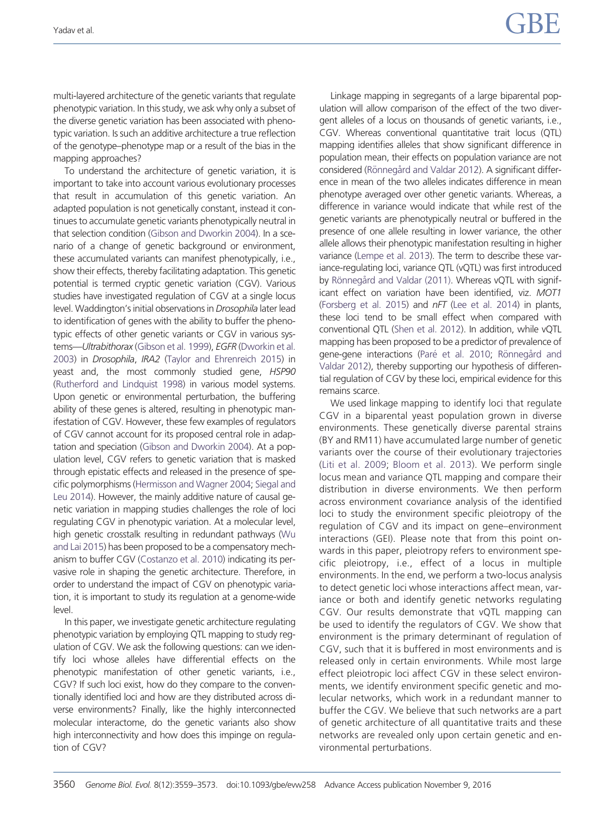multi-layered architecture of the genetic variants that regulate phenotypic variation. In this study, we ask why only a subset of the diverse genetic variation has been associated with phenotypic variation. Is such an additive architecture a true reflection of the genotype–phenotype map or a result of the bias in the mapping approaches?

To understand the architecture of genetic variation, it is important to take into account various evolutionary processes that result in accumulation of this genetic variation. An adapted population is not genetically constant, instead it continues to accumulate genetic variants phenotypically neutral in that selection condition [\(Gibson and Dworkin 2004](#page-14-0)). In a scenario of a change of genetic background or environment, these accumulated variants can manifest phenotypically, i.e., show their effects, thereby facilitating adaptation. This genetic potential is termed cryptic genetic variation (CGV). Various studies have investigated regulation of CGV at a single locus level. Waddington's initial observations in Drosophila later lead to identification of genes with the ability to buffer the phenotypic effects of other genetic variants or CGV in various sys-tems-Ultrabithorax ([Gibson et al. 1999\)](#page-14-0), EGFR [\(Dworkin et al.](#page-14-0) [2003\)](#page-14-0) in Drosophila, IRA2 [\(Taylor and Ehrenreich 2015\)](#page-14-0) in yeast and, the most commonly studied gene, HSP90 [\(Rutherford and Lindquist 1998\)](#page-14-0) in various model systems. Upon genetic or environmental perturbation, the buffering ability of these genes is altered, resulting in phenotypic manifestation of CGV. However, these few examples of regulators of CGV cannot account for its proposed central role in adaptation and speciation [\(Gibson and Dworkin 2004\)](#page-14-0). At a population level, CGV refers to genetic variation that is masked through epistatic effects and released in the presence of specific polymorphisms ([Hermisson and Wagner 2004;](#page-14-0) [Siegal and](#page-14-0) [Leu 2014](#page-14-0)). However, the mainly additive nature of causal genetic variation in mapping studies challenges the role of loci regulating CGV in phenotypic variation. At a molecular level, high genetic crosstalk resulting in redundant pathways [\(Wu](#page-14-0) [and Lai 2015\)](#page-14-0) has been proposed to be a compensatory mechanism to buffer CGV [\(Costanzo et al. 2010](#page-14-0)) indicating its pervasive role in shaping the genetic architecture. Therefore, in order to understand the impact of CGV on phenotypic variation, it is important to study its regulation at a genome-wide level.

In this paper, we investigate genetic architecture regulating phenotypic variation by employing QTL mapping to study regulation of CGV. We ask the following questions: can we identify loci whose alleles have differential effects on the phenotypic manifestation of other genetic variants, i.e., CGV? If such loci exist, how do they compare to the conventionally identified loci and how are they distributed across diverse environments? Finally, like the highly interconnected molecular interactome, do the genetic variants also show high interconnectivity and how does this impinge on regulation of CGV?

Linkage mapping in segregants of a large biparental population will allow comparison of the effect of the two divergent alleles of a locus on thousands of genetic variants, i.e., CGV. Whereas conventional quantitative trait locus (QTL) mapping identifies alleles that show significant difference in population mean, their effects on population variance are not considered (Rönnegård and Valdar 2012). A significant difference in mean of the two alleles indicates difference in mean phenotype averaged over other genetic variants. Whereas, a difference in variance would indicate that while rest of the genetic variants are phenotypically neutral or buffered in the presence of one allele resulting in lower variance, the other allele allows their phenotypic manifestation resulting in higher variance [\(Lempe et al. 2013\)](#page-14-0). The term to describe these variance-regulating loci, variance QTL (vQTL) was first introduced by Rönnegård and Valdar (2011). Whereas vQTL with significant effect on variation have been identified, viz. MOT1 ([Forsberg et al. 2015\)](#page-14-0) and nFT ([Lee et al. 2014\)](#page-14-0) in plants, these loci tend to be small effect when compared with conventional QTL [\(Shen et al. 2012](#page-14-0)). In addition, while vQTL mapping has been proposed to be a predictor of prevalence of gene-gene interactions (Paré [et al. 2010](#page-14-0); Rönnegård and [Valdar 2012](#page-14-0)), thereby supporting our hypothesis of differential regulation of CGV by these loci, empirical evidence for this remains scarce.

We used linkage mapping to identify loci that regulate CGV in a biparental yeast population grown in diverse environments. These genetically diverse parental strains (BY and RM11) have accumulated large number of genetic variants over the course of their evolutionary trajectories ([Liti et al. 2009](#page-14-0); [Bloom et al. 2013\)](#page-14-0). We perform single locus mean and variance QTL mapping and compare their distribution in diverse environments. We then perform across environment covariance analysis of the identified loci to study the environment specific pleiotropy of the regulation of CGV and its impact on gene–environment interactions (GEI). Please note that from this point onwards in this paper, pleiotropy refers to environment specific pleiotropy, i.e., effect of a locus in multiple environments. In the end, we perform a two-locus analysis to detect genetic loci whose interactions affect mean, variance or both and identify genetic networks regulating CGV. Our results demonstrate that vQTL mapping can be used to identify the regulators of CGV. We show that environment is the primary determinant of regulation of CGV, such that it is buffered in most environments and is released only in certain environments. While most large effect pleiotropic loci affect CGV in these select environments, we identify environment specific genetic and molecular networks, which work in a redundant manner to buffer the CGV. We believe that such networks are a part of genetic architecture of all quantitative traits and these networks are revealed only upon certain genetic and environmental perturbations.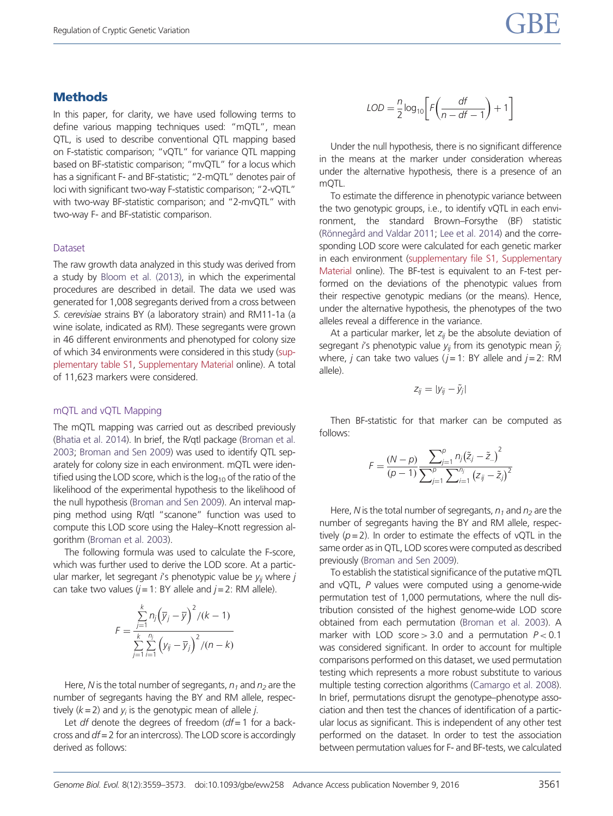# **Methods**

In this paper, for clarity, we have used following terms to define various mapping techniques used: "mQTL", mean QTL, is used to describe conventional QTL mapping based on F-statistic comparison; "vQTL" for variance QTL mapping based on BF-statistic comparison; "mvQTL" for a locus which has a significant F- and BF-statistic; "2-mQTL" denotes pair of loci with significant two-way F-statistic comparison; "2-vQTL" with two-way BF-statistic comparison; and "2-mvQTL" with two-way F- and BF-statistic comparison.

#### Dataset

The raw growth data analyzed in this study was derived from a study by [Bloom et al. \(2013\)](#page-14-0), in which the experimental procedures are described in detail. The data we used was generated for 1,008 segregants derived from a cross between S. cerevisiae strains BY (a laboratory strain) and RM11-1a (a wine isolate, indicated as RM). These segregants were grown in 46 different environments and phenotyped for colony size of which 34 environments were considered in this study ([sup](http://gbe.oxfordjournals.org/lookup/suppl/doi:10.1093/gbe/evw258/-/DC1)[plementary table S1](http://gbe.oxfordjournals.org/lookup/suppl/doi:10.1093/gbe/evw258/-/DC1), [Supplementary Material](http://gbe.oxfordjournals.org/lookup/suppl/doi:10.1093/gbe/evw258/-/DC1) online). A total of 11,623 markers were considered.

### mQTL and vQTL Mapping

The mQTL mapping was carried out as described previously [\(Bhatia et al. 2014\)](#page-14-0). In brief, the R/qtl package [\(Broman et al.](#page-14-0) [2003;](#page-14-0) [Broman and Sen 2009\)](#page-14-0) was used to identify QTL separately for colony size in each environment. mQTL were identified using the LOD score, which is the  $log_{10}$  of the ratio of the likelihood of the experimental hypothesis to the likelihood of the null hypothesis ([Broman and Sen 2009](#page-14-0)). An interval mapping method using R/qtl "scanone" function was used to compute this LOD score using the Haley–Knott regression algorithm ([Broman et al. 2003\)](#page-14-0).

The following formula was used to calculate the F-score, which was further used to derive the LOD score. At a particular marker, let segregant i's phenotypic value be  $y_{ii}$  where j can take two values  $(j = 1: BY$  allele and  $j = 2: RM$  allele).

$$
F = \frac{\sum_{j=1}^{k} n_j (\overline{y}_j - \overline{y})^2 / (k - 1)}{\sum_{j=1}^{k} \sum_{i=1}^{n_j} (\overline{y}_j - \overline{y}_j)^2 / (n - k)}
$$

Here, N is the total number of segregants,  $n_1$  and  $n_2$  are the number of segregants having the BY and RM allele, respectively  $(k = 2)$  and  $y_i$  is the genotypic mean of allele j.

Let  $df$  denote the degrees of freedom  $(df = 1$  for a backcross and  $df = 2$  for an intercross). The LOD score is accordingly derived as follows:

$$
LOD = \frac{n}{2} \log_{10} \left[ F \left( \frac{df}{n - df - 1} \right) + 1 \right]
$$

Under the null hypothesis, there is no significant difference in the means at the marker under consideration whereas under the alternative hypothesis, there is a presence of an mQTL.

To estimate the difference in phenotypic variance between the two genotypic groups, i.e., to identify vQTL in each environment, the standard Brown–Forsythe (BF) statistic (Rönnegård and Valdar 2011; [Lee et al. 2014](#page-14-0)) and the corresponding LOD score were calculated for each genetic marker in each environment [\(supplementary file S1, Supplementary](http://gbe.oxfordjournals.org/lookup/suppl/doi:10.1093/gbe/evw258/-/DC1) [Material](http://gbe.oxfordjournals.org/lookup/suppl/doi:10.1093/gbe/evw258/-/DC1) online). The BF-test is equivalent to an F-test performed on the deviations of the phenotypic values from their respective genotypic medians (or the means). Hence, under the alternative hypothesis, the phenotypes of the two alleles reveal a difference in the variance.

At a particular marker, let  $z_{ii}$  be the absolute deviation of segregant i's phenotypic value  $y_{ii}$  from its genotypic mean  $\tilde{y}_{i}$ where, *j* can take two values ( $j = 1$ : BY allele and  $j = 2$ : RM allele).

$$
z_{ij} = |y_{ij} - \tilde{y}_j|
$$

Then BF-statistic for that marker can be computed as follows:

$$
F = \frac{(N-p)}{(p-1)} \frac{\sum_{j=1}^{p} n_j (\tilde{z}_j - \tilde{z}_{..})^2}{\sum_{j=1}^{p} \sum_{i=1}^{n_j} (z_{ij} - \tilde{z}_j)^2}
$$

Here, N is the total number of segregants,  $n_1$  and  $n_2$  are the number of segregants having the BY and RM allele, respectively  $(p = 2)$ . In order to estimate the effects of vQTL in the same order as in QTL, LOD scores were computed as described previously [\(Broman and Sen 2009](#page-14-0)).

To establish the statistical significance of the putative mQTL and vQTL, P values were computed using a genome-wide permutation test of 1,000 permutations, where the null distribution consisted of the highest genome-wide LOD score obtained from each permutation ([Broman et al. 2003](#page-14-0)). A marker with LOD score  $> 3.0$  and a permutation  $P < 0.1$ was considered significant. In order to account for multiple comparisons performed on this dataset, we used permutation testing which represents a more robust substitute to various multiple testing correction algorithms [\(Camargo et al. 2008\)](#page-14-0). In brief, permutations disrupt the genotype–phenotype association and then test the chances of identification of a particular locus as significant. This is independent of any other test performed on the dataset. In order to test the association between permutation values for F- and BF-tests, we calculated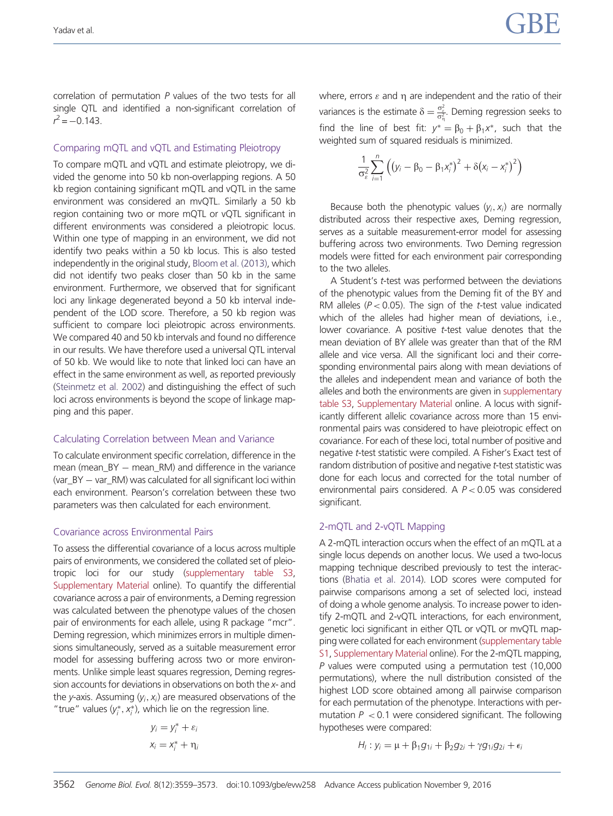correlation of permutation P values of the two tests for all single QTL and identified a non-significant correlation of  $r^2 = -0.143$ .

### Comparing mQTL and vQTL and Estimating Pleiotropy

To compare mQTL and vQTL and estimate pleiotropy, we divided the genome into 50 kb non-overlapping regions. A 50 kb region containing significant mQTL and vQTL in the same environment was considered an mvQTL. Similarly a 50 kb region containing two or more mQTL or vQTL significant in different environments was considered a pleiotropic locus. Within one type of mapping in an environment, we did not identify two peaks within a 50 kb locus. This is also tested independently in the original study, [Bloom et al. \(2013\),](#page-14-0) which did not identify two peaks closer than 50 kb in the same environment. Furthermore, we observed that for significant loci any linkage degenerated beyond a 50 kb interval independent of the LOD score. Therefore, a 50 kb region was sufficient to compare loci pleiotropic across environments. We compared 40 and 50 kb intervals and found no difference in our results. We have therefore used a universal QTL interval of 50 kb. We would like to note that linked loci can have an effect in the same environment as well, as reported previously [\(Steinmetz et al. 2002](#page-14-0)) and distinguishing the effect of such loci across environments is beyond the scope of linkage mapping and this paper.

### Calculating Correlation between Mean and Variance

To calculate environment specific correlation, difference in the mean (mean\_BY  $-$  mean\_RM) and difference in the variance (var\_BY - var\_RM) was calculated for all significant loci within each environment. Pearson's correlation between these two parameters was then calculated for each environment.

#### Covariance across Environmental Pairs

To assess the differential covariance of a locus across multiple pairs of environments, we considered the collated set of pleiotropic loci for our study ([supplementary table S3,](http://gbe.oxfordjournals.org/lookup/suppl/doi:10.1093/gbe/evw258/-/DC1) [Supplementary Material](http://gbe.oxfordjournals.org/lookup/suppl/doi:10.1093/gbe/evw258/-/DC1) online). To quantify the differential covariance across a pair of environments, a Deming regression was calculated between the phenotype values of the chosen pair of environments for each allele, using R package "mcr". Deming regression, which minimizes errors in multiple dimensions simultaneously, served as a suitable measurement error model for assessing buffering across two or more environments. Unlike simple least squares regression, Deming regression accounts for deviations in observations on both the x- and the y-axis. Assuming  $(y_i, x_i)$  are measured observations of the "true" values  $(y_i^*, x_i^*)$ , which lie on the regression line.

$$
y_i = y_i^* + \varepsilon_i
$$

$$
x_i = x_i^* + \eta_i
$$

where, errors  $\varepsilon$  and  $\eta$  are independent and the ratio of their variances is the estimate  $\delta = \frac{\sigma_{\varepsilon}^2}{\sigma_{\eta}^2}$ . Deming regression seeks to find the line of best fit:  $y^* = \beta_0 + \beta_1 x^*$ , such that the weighted sum of squared residuals is minimized.

$$
\frac{1}{\sigma_{\varepsilon}^2} \sum_{i=1}^n \left( \left( y_i - \beta_0 - \beta_1 x_i^* \right)^2 + \delta \left( x_i - x_i^* \right)^2 \right)
$$

Because both the phenotypic values  $(y_i, x_i)$  are normally distributed across their respective axes, Deming regression, serves as a suitable measurement-error model for assessing buffering across two environments. Two Deming regression models were fitted for each environment pair corresponding to the two alleles.

A Student's *t*-test was performed between the deviations of the phenotypic values from the Deming fit of the BY and RM alleles ( $P < 0.05$ ). The sign of the *t*-test value indicated which of the alleles had higher mean of deviations, i.e., lower covariance. A positive t-test value denotes that the mean deviation of BY allele was greater than that of the RM allele and vice versa. All the significant loci and their corresponding environmental pairs along with mean deviations of the alleles and independent mean and variance of both the alleles and both the environments are given in [supplementary](http://gbe.oxfordjournals.org/lookup/suppl/doi:10.1093/gbe/evw258/-/DC1) [table S3,](http://gbe.oxfordjournals.org/lookup/suppl/doi:10.1093/gbe/evw258/-/DC1) [Supplementary Material](http://gbe.oxfordjournals.org/lookup/suppl/doi:10.1093/gbe/evw258/-/DC1) online. A locus with significantly different allelic covariance across more than 15 environmental pairs was considered to have pleiotropic effect on covariance. For each of these loci, total number of positive and negative t-test statistic were compiled. A Fisher's Exact test of random distribution of positive and negative t-test statistic was done for each locus and corrected for the total number of environmental pairs considered. A P< 0.05 was considered significant.

### 2-mQTL and 2-vQTL Mapping

A 2-mQTL interaction occurs when the effect of an mQTL at a single locus depends on another locus. We used a two-locus mapping technique described previously to test the interactions ([Bhatia et al. 2014](#page-14-0)). LOD scores were computed for pairwise comparisons among a set of selected loci, instead of doing a whole genome analysis. To increase power to identify 2-mQTL and 2-vQTL interactions, for each environment, genetic loci significant in either QTL or vQTL or mvQTL mapping were collated for each environment [\(supplementary table](http://gbe.oxfordjournals.org/lookup/suppl/doi:10.1093/gbe/evw258/-/DC1) [S1,](http://gbe.oxfordjournals.org/lookup/suppl/doi:10.1093/gbe/evw258/-/DC1) [Supplementary Material](http://gbe.oxfordjournals.org/lookup/suppl/doi:10.1093/gbe/evw258/-/DC1) online). For the 2-mQTL mapping, P values were computed using a permutation test (10,000 permutations), where the null distribution consisted of the highest LOD score obtained among all pairwise comparison for each permutation of the phenotype. Interactions with permutation  $P < 0.1$  were considered significant. The following hypotheses were compared:

$$
H_i: y_i = \mu + \beta_1 g_{1i} + \beta_2 g_{2i} + \gamma g_{1i} g_{2i} + \epsilon_i
$$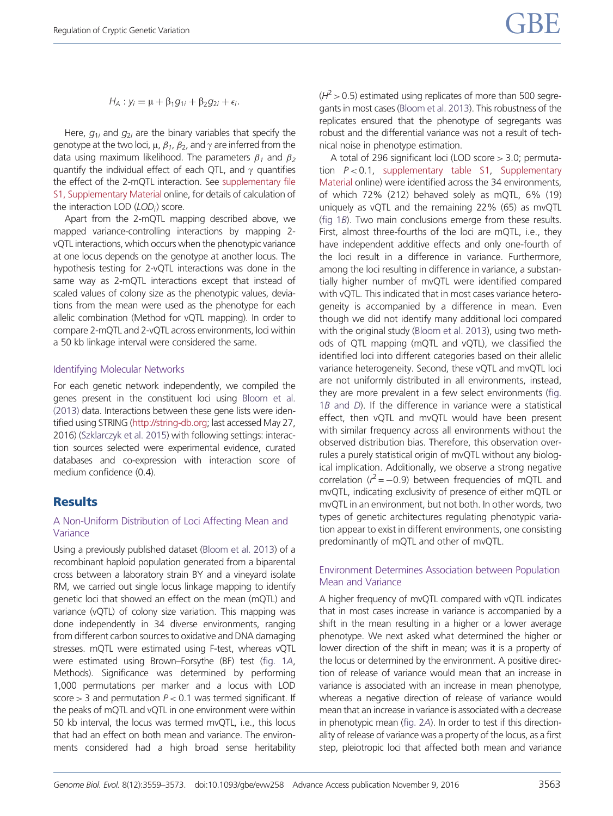$$
H_A: y_i = \mu + \beta_1 g_{1i} + \beta_2 g_{2i} + \epsilon_i.
$$

Here,  $g_{1i}$  and  $g_{2i}$  are the binary variables that specify the genotype at the two loci,  $\mu$ ,  $\beta_{1}$ ,  $\beta_{2}$ , and  $\gamma$  are inferred from the data using maximum likelihood. The parameters  $\beta_1$  and  $\beta_2$ quantify the individual effect of each QTL, and  $\gamma$  quantifies the effect of the 2-mQTL interaction. See [supplementary file](http://gbe.oxfordjournals.org/lookup/suppl/doi:10.1093/gbe/evw258/-/DC1) [S1, Supplementary Material](http://gbe.oxfordjournals.org/lookup/suppl/doi:10.1093/gbe/evw258/-/DC1) online, for details of calculation of the interaction LOD  $(LOD_i)$  score.

Apart from the 2-mQTL mapping described above, we mapped variance-controlling interactions by mapping 2 vQTL interactions, which occurs when the phenotypic variance at one locus depends on the genotype at another locus. The hypothesis testing for 2-vQTL interactions was done in the same way as 2-mQTL interactions except that instead of scaled values of colony size as the phenotypic values, deviations from the mean were used as the phenotype for each allelic combination (Method for vQTL mapping). In order to compare 2-mQTL and 2-vQTL across environments, loci within a 50 kb linkage interval were considered the same.

#### Identifying Molecular Networks

For each genetic network independently, we compiled the genes present in the constituent loci using [Bloom et al.](#page-14-0) [\(2013\)](#page-14-0) data. Interactions between these gene lists were identified using STRING (<http://string-db.org>; last accessed May 27, 2016) [\(Szklarczyk et al. 2015\)](#page-14-0) with following settings: interaction sources selected were experimental evidence, curated databases and co-expression with interaction score of medium confidence (0.4).

# **Results**

## A Non-Uniform Distribution of Loci Affecting Mean and Variance

Using a previously published dataset [\(Bloom et al. 2013\)](#page-14-0) of a recombinant haploid population generated from a biparental cross between a laboratory strain BY and a vineyard isolate RM, we carried out single locus linkage mapping to identify genetic loci that showed an effect on the mean (mQTL) and variance (vQTL) of colony size variation. This mapping was done independently in 34 diverse environments, ranging from different carbon sources to oxidative and DNA damaging stresses. mQTL were estimated using F-test, whereas vQTL were estimated using Brown–Forsythe (BF) test [\(fig. 1](#page-5-0)A, Methods). Significance was determined by performing 1,000 permutations per marker and a locus with LOD score  $> 3$  and permutation  $P < 0.1$  was termed significant. If the peaks of mQTL and vQTL in one environment were within 50 kb interval, the locus was termed mvQTL, i.e., this locus that had an effect on both mean and variance. The environments considered had a high broad sense heritability  $(H^2 > 0.5)$  estimated using replicates of more than 500 segregants in most cases [\(Bloom et al. 2013\)](#page-14-0). This robustness of the replicates ensured that the phenotype of segregants was robust and the differential variance was not a result of technical noise in phenotype estimation.

A total of 296 significant loci (LOD score > 3.0; permutation  $P < 0.1$ , [supplementary table S1,](http://gbe.oxfordjournals.org/lookup/suppl/doi:10.1093/gbe/evw258/-/DC1) [Supplementary](http://gbe.oxfordjournals.org/lookup/suppl/doi:10.1093/gbe/evw258/-/DC1) [Material](http://gbe.oxfordjournals.org/lookup/suppl/doi:10.1093/gbe/evw258/-/DC1) online) were identified across the 34 environments, of which 72% (212) behaved solely as mQTL, 6% (19) uniquely as vQTL and the remaining 22% (65) as mvQTL ([fig 1](#page-5-0)B). Two main conclusions emerge from these results. First, almost three-fourths of the loci are mQTL, i.e., they have independent additive effects and only one-fourth of the loci result in a difference in variance. Furthermore, among the loci resulting in difference in variance, a substantially higher number of mvQTL were identified compared with vQTL. This indicated that in most cases variance heterogeneity is accompanied by a difference in mean. Even though we did not identify many additional loci compared with the original study [\(Bloom et al. 2013](#page-14-0)), using two methods of QTL mapping (mQTL and vQTL), we classified the identified loci into different categories based on their allelic variance heterogeneity. Second, these vQTL and mvQTL loci are not uniformly distributed in all environments, instead, they are more prevalent in a few select environments [\(fig.](#page-5-0)  $1B$  [and](#page-5-0)  $D$ ). If the difference in variance were a statistical effect, then vQTL and mvQTL would have been present with similar frequency across all environments without the observed distribution bias. Therefore, this observation overrules a purely statistical origin of mvQTL without any biological implication. Additionally, we observe a strong negative correlation ( $r^2$  = -0.9) between frequencies of mQTL and mvQTL, indicating exclusivity of presence of either mQTL or mvQTL in an environment, but not both. In other words, two types of genetic architectures regulating phenotypic variation appear to exist in different environments, one consisting predominantly of mQTL and other of mvQTL.

# Environment Determines Association between Population Mean and Variance

A higher frequency of mvQTL compared with vQTL indicates that in most cases increase in variance is accompanied by a shift in the mean resulting in a higher or a lower average phenotype. We next asked what determined the higher or lower direction of the shift in mean; was it is a property of the locus or determined by the environment. A positive direction of release of variance would mean that an increase in variance is associated with an increase in mean phenotype, whereas a negative direction of release of variance would mean that an increase in variance is associated with a decrease in phenotypic mean [\(fig. 2](#page-6-0)A). In order to test if this directionality of release of variance was a property of the locus, as a first step, pleiotropic loci that affected both mean and variance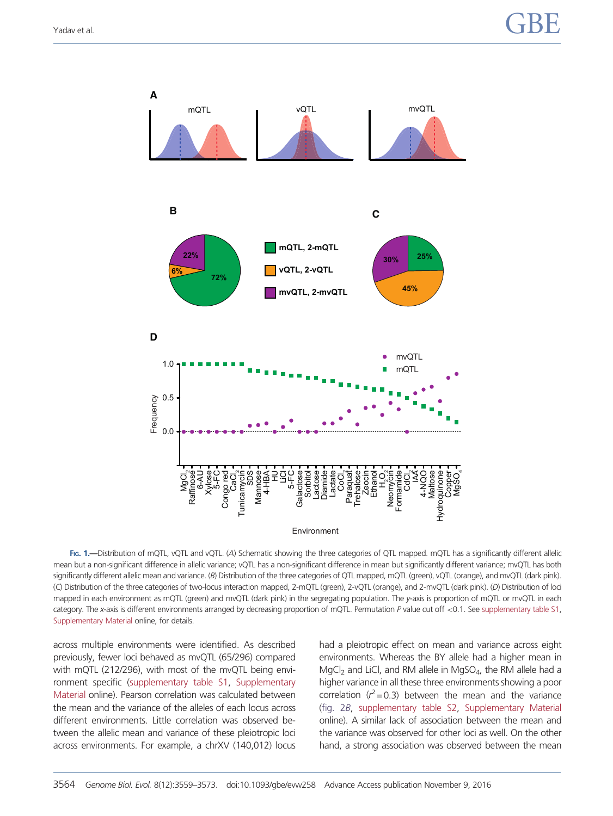<span id="page-5-0"></span>

FIG. 1.—Distribution of mQTL, vQTL and vQTL. (A) Schematic showing the three categories of QTL mapped. mQTL has a significantly different allelic mean but a non-significant difference in allelic variance; vQTL has a non-significant difference in mean but significantly different variance; mvQTL has both significantly different allelic mean and variance. (B) Distribution of the three categories of QTL mapped, mQTL (green), vQTL (orange), and mvQTL (dark pink). (C) Distribution of the three categories of two-locus interaction mapped, 2-mQTL (green), 2-vQTL (orange), and 2-mvQTL (dark pink). (D) Distribution of loci mapped in each environment as mQTL (green) and mvQTL (dark pink) in the segregating population. The y-axis is proportion of mQTL or mvQTL in each category. The x-axis is different environments arranged by decreasing proportion of mQTL. Permutation P value cut off <0.1. See [supplementary table S1,](http://gbe.oxfordjournals.org/lookup/suppl/doi:10.1093/gbe/evw258/-/DC1) [Supplementary Material](http://gbe.oxfordjournals.org/lookup/suppl/doi:10.1093/gbe/evw258/-/DC1) online, for details.

across multiple environments were identified. As described previously, fewer loci behaved as mvQTL (65/296) compared with mQTL (212/296), with most of the mvQTL being environment specific [\(supplementary table S1,](http://gbe.oxfordjournals.org/lookup/suppl/doi:10.1093/gbe/evw258/-/DC1) [Supplementary](http://gbe.oxfordjournals.org/lookup/suppl/doi:10.1093/gbe/evw258/-/DC1) [Material](http://gbe.oxfordjournals.org/lookup/suppl/doi:10.1093/gbe/evw258/-/DC1) online). Pearson correlation was calculated between the mean and the variance of the alleles of each locus across different environments. Little correlation was observed between the allelic mean and variance of these pleiotropic loci across environments. For example, a chrXV (140,012) locus had a pleiotropic effect on mean and variance across eight environments. Whereas the BY allele had a higher mean in  $MgCl<sub>2</sub>$  and LiCl, and RM allele in MgSO<sub>4</sub>, the RM allele had a higher variance in all these three environments showing a poor correlation ( $r^2$  = 0.3) between the mean and the variance ([fig. 2](#page-6-0)B, [supplementary table S2,](http://gbe.oxfordjournals.org/lookup/suppl/doi:10.1093/gbe/evw258/-/DC1) [Supplementary Material](http://gbe.oxfordjournals.org/lookup/suppl/doi:10.1093/gbe/evw258/-/DC1) online). A similar lack of association between the mean and the variance was observed for other loci as well. On the other hand, a strong association was observed between the mean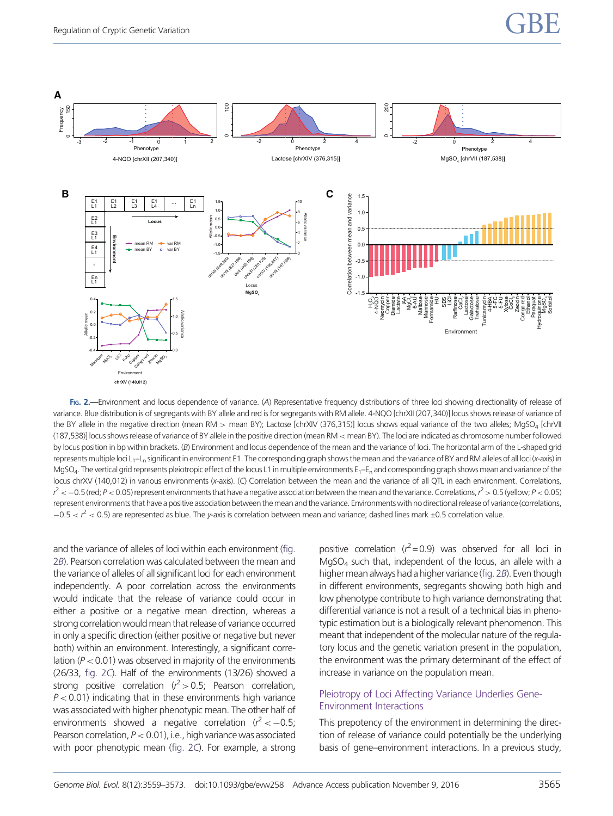<span id="page-6-0"></span>

FIG. 2.—Environment and locus dependence of variance. (A) Representative frequency distributions of three loci showing directionality of release of variance. Blue distribution is of segregants with BY allele and red is for segregants with RM allele. 4-NQO [chrXII (207,340)] locus shows release of variance of the BY allele in the negative direction (mean RM > mean BY); Lactose [chrXIV (376,315)] locus shows equal variance of the two alleles; MgSO<sub>4</sub> [chrVII (187,538)] locus shows release of variance of BY allele in the positive direction (mean RM < mean BY). The loci are indicated as chromosome number followed by locus position in bp within brackets. (B) Environment and locus dependence of the mean and the variance of loci. The horizontal arm of the L-shaped grid represents multiple loci L<sub>1</sub>–L<sub>n</sub> significant in environment E1. The corresponding graph shows the mean and the variance of BY and RM alleles of all loci (x-axis) in MgSO<sub>4</sub>. The vertical grid represents pleiotropic effect of the locus L1 in multiple environments  $E_1 - E_n$  and corresponding graph shows mean and variance of the locus chrXV (140,012) in various environments (x-axis). (C) Correlation between the mean and the variance of all QTL in each environment. Correlations,  $r^2$   $<$   $-$  0.5 (red; P  $<$  0.05) represent environments that have a negative association between the mean and the variance. Correlations,  $r^2$   $>$  0.5 (yellow; P  $<$  0.05) represent environments that have a positive association between the mean and the variance. Environments with no directional release of variance (correlations,  $-0.5 < r^2 < 0.5$ ) are represented as blue. The y-axis is correlation between mean and variance; dashed lines mark ±0.5 correlation value.

and the variance of alleles of loci within each environment (fig. 2B). Pearson correlation was calculated between the mean and the variance of alleles of all significant loci for each environment independently. A poor correlation across the environments would indicate that the release of variance could occur in either a positive or a negative mean direction, whereas a strong correlation would mean that release of variance occurred in only a specific direction (either positive or negative but never both) within an environment. Interestingly, a significant correlation ( $P < 0.01$ ) was observed in majority of the environments (26/33, fig. 2C). Half of the environments (13/26) showed a strong positive correlation ( $r^2 > 0.5$ ; Pearson correlation,  $P < 0.01$ ) indicating that in these environments high variance was associated with higher phenotypic mean. The other half of environments showed a negative correlation ( $r^2 < -0.5$ ; Pearson correlation,  $P < 0.01$ ), i.e., high variance was associated with poor phenotypic mean (fig. 2C). For example, a strong

positive correlation ( $r^2$  = 0.9) was observed for all loci in MgSO4 such that, independent of the locus, an allele with a higher mean always had a higher variance (fig. 2B). Even though in different environments, segregants showing both high and low phenotype contribute to high variance demonstrating that differential variance is not a result of a technical bias in phenotypic estimation but is a biologically relevant phenomenon. This meant that independent of the molecular nature of the regulatory locus and the genetic variation present in the population, the environment was the primary determinant of the effect of increase in variance on the population mean.

### Pleiotropy of Loci Affecting Variance Underlies Gene-Environment Interactions

This prepotency of the environment in determining the direction of release of variance could potentially be the underlying basis of gene–environment interactions. In a previous study,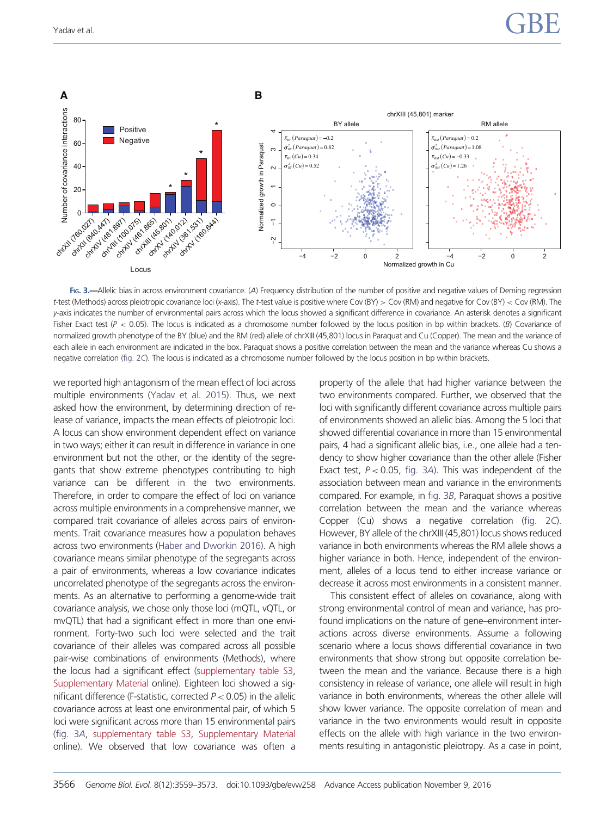<span id="page-7-0"></span>

FIG. 3.—Allelic bias in across environment covariance. (A) Frequency distribution of the number of positive and negative values of Deming regression t-test (Methods) across pleiotropic covariance loci (x-axis). The t-test value is positive where Cov (BY) > Cov (RM) and negative for Cov (BY) < Cov (RM). The y-axis indicates the number of environmental pairs across which the locus showed a significant difference in covariance. An asterisk denotes a significant Fisher Exact test ( $P < 0.05$ ). The locus is indicated as a chromosome number followed by the locus position in bp within brackets. (B) Covariance of normalized growth phenotype of the BY (blue) and the RM (red) allele of chrXIII (45,801) locus in Paraquat and Cu (Copper). The mean and the variance of each allele in each environment are indicated in the box. Paraquat shows a positive correlation between the mean and the variance whereas Cu shows a negative correlation ([fig. 2](#page-6-0)C). The locus is indicated as a chromosome number followed by the locus position in bp within brackets.

we reported high antagonism of the mean effect of loci across multiple environments [\(Yadav et al. 2015\)](#page-14-0). Thus, we next asked how the environment, by determining direction of release of variance, impacts the mean effects of pleiotropic loci. A locus can show environment dependent effect on variance in two ways; either it can result in difference in variance in one environment but not the other, or the identity of the segregants that show extreme phenotypes contributing to high variance can be different in the two environments. Therefore, in order to compare the effect of loci on variance across multiple environments in a comprehensive manner, we compared trait covariance of alleles across pairs of environments. Trait covariance measures how a population behaves across two environments [\(Haber and Dworkin 2016](#page-14-0)). A high covariance means similar phenotype of the segregants across a pair of environments, whereas a low covariance indicates uncorrelated phenotype of the segregants across the environments. As an alternative to performing a genome-wide trait covariance analysis, we chose only those loci (mQTL, vQTL, or mvQTL) that had a significant effect in more than one environment. Forty-two such loci were selected and the trait covariance of their alleles was compared across all possible pair-wise combinations of environments (Methods), where the locus had a significant effect [\(supplementary table S3,](http://gbe.oxfordjournals.org/lookup/suppl/doi:10.1093/gbe/evw258/-/DC1) [Supplementary Material](http://gbe.oxfordjournals.org/lookup/suppl/doi:10.1093/gbe/evw258/-/DC1) online). Eighteen loci showed a significant difference (F-statistic, corrected  $P < 0.05$ ) in the allelic covariance across at least one environmental pair, of which 5 loci were significant across more than 15 environmental pairs (fig. 3A, [supplementary table S3,](http://gbe.oxfordjournals.org/lookup/suppl/doi:10.1093/gbe/evw258/-/DC1) [Supplementary Material](http://gbe.oxfordjournals.org/lookup/suppl/doi:10.1093/gbe/evw258/-/DC1) online). We observed that low covariance was often a property of the allele that had higher variance between the two environments compared. Further, we observed that the loci with significantly different covariance across multiple pairs of environments showed an allelic bias. Among the 5 loci that showed differential covariance in more than 15 environmental pairs, 4 had a significant allelic bias, i.e., one allele had a tendency to show higher covariance than the other allele (Fisher Exact test,  $P < 0.05$ , fig. 3A). This was independent of the association between mean and variance in the environments compared. For example, in fig. 3B, Paraquat shows a positive correlation between the mean and the variance whereas Copper (Cu) shows a negative correlation [\(fig. 2](#page-6-0)C). However, BY allele of the chrXIII (45,801) locus shows reduced variance in both environments whereas the RM allele shows a higher variance in both. Hence, independent of the environment, alleles of a locus tend to either increase variance or decrease it across most environments in a consistent manner.

This consistent effect of alleles on covariance, along with strong environmental control of mean and variance, has profound implications on the nature of gene–environment interactions across diverse environments. Assume a following scenario where a locus shows differential covariance in two environments that show strong but opposite correlation between the mean and the variance. Because there is a high consistency in release of variance, one allele will result in high variance in both environments, whereas the other allele will show lower variance. The opposite correlation of mean and variance in the two environments would result in opposite effects on the allele with high variance in the two environments resulting in antagonistic pleiotropy. As a case in point,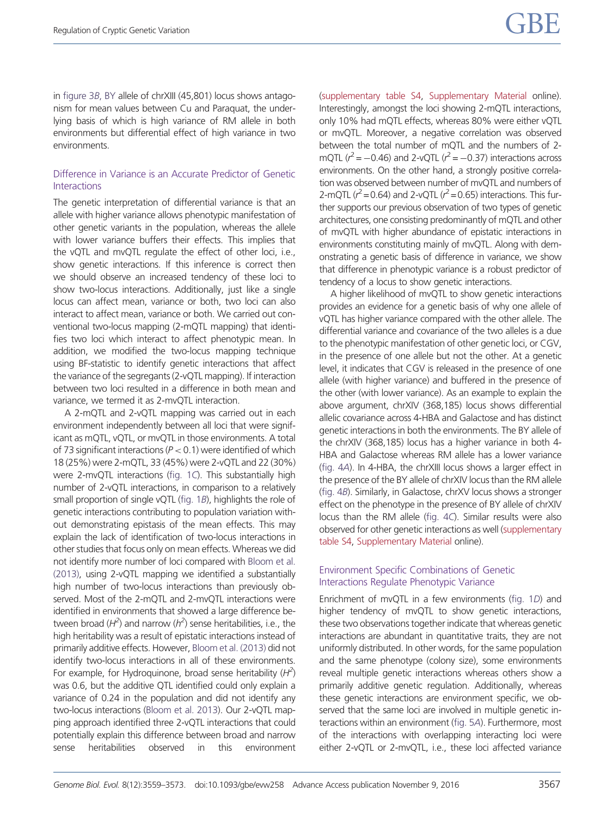in [figure 3](#page-7-0)B, BY allele of chrXIII (45,801) locus shows antagonism for mean values between Cu and Paraquat, the underlying basis of which is high variance of RM allele in both environments but differential effect of high variance in two environments.

# Difference in Variance is an Accurate Predictor of Genetic Interactions

The genetic interpretation of differential variance is that an allele with higher variance allows phenotypic manifestation of other genetic variants in the population, whereas the allele with lower variance buffers their effects. This implies that the vQTL and mvQTL regulate the effect of other loci, i.e., show genetic interactions. If this inference is correct then we should observe an increased tendency of these loci to show two-locus interactions. Additionally, just like a single locus can affect mean, variance or both, two loci can also interact to affect mean, variance or both. We carried out conventional two-locus mapping (2-mQTL mapping) that identifies two loci which interact to affect phenotypic mean. In addition, we modified the two-locus mapping technique using BF-statistic to identify genetic interactions that affect the variance of the segregants (2-vQTL mapping). If interaction between two loci resulted in a difference in both mean and variance, we termed it as 2-mvQTL interaction.

A 2-mQTL and 2-vQTL mapping was carried out in each environment independently between all loci that were significant as mQTL, vQTL, or mvQTL in those environments. A total of 73 significant interactions ( $P < 0.1$ ) were identified of which 18 (25%) were 2-mQTL, 33 (45%) were 2-vQTL and 22 (30%) were 2-mvQTL interactions ([fig. 1](#page-5-0)C). This substantially high number of 2-vQTL interactions, in comparison to a relatively small proportion of single vQTL ([fig. 1](#page-5-0)B), highlights the role of genetic interactions contributing to population variation without demonstrating epistasis of the mean effects. This may explain the lack of identification of two-locus interactions in other studies that focus only on mean effects. Whereas we did not identify more number of loci compared with [Bloom et al.](#page-14-0) [\(2013\),](#page-14-0) using 2-vQTL mapping we identified a substantially high number of two-locus interactions than previously observed. Most of the 2-mQTL and 2-mvQTL interactions were identified in environments that showed a large difference between broad ( $H^2$ ) and narrow ( $h^2$ ) sense heritabilities, i.e., the high heritability was a result of epistatic interactions instead of primarily additive effects. However, [Bloom et al. \(2013\)](#page-14-0) did not identify two-locus interactions in all of these environments. For example, for Hydroquinone, broad sense heritability  $(H^2)$ was 0.6, but the additive QTL identified could only explain a variance of 0.24 in the population and did not identify any two-locus interactions [\(Bloom et al. 2013\)](#page-14-0). Our 2-vQTL mapping approach identified three 2-vQTL interactions that could potentially explain this difference between broad and narrow sense heritabilities observed in this environment

([supplementary table S4](http://gbe.oxfordjournals.org/lookup/suppl/doi:10.1093/gbe/evw258/-/DC1), [Supplementary Material](http://gbe.oxfordjournals.org/lookup/suppl/doi:10.1093/gbe/evw258/-/DC1) online). Interestingly, amongst the loci showing 2-mQTL interactions, only 10% had mQTL effects, whereas 80% were either vQTL or mvQTL. Moreover, a negative correlation was observed between the total number of mQTL and the numbers of 2 mQTL ( $r^2 = -0.46$ ) and 2-vQTL ( $r^2 = -0.37$ ) interactions across environments. On the other hand, a strongly positive correlation was observed between number of mvQTL and numbers of 2-mQTL ( $r^2$  = 0.64) and 2-vQTL ( $r^2$  = 0.65) interactions. This further supports our previous observation of two types of genetic architectures, one consisting predominantly of mQTL and other of mvQTL with higher abundance of epistatic interactions in environments constituting mainly of mvQTL. Along with demonstrating a genetic basis of difference in variance, we show that difference in phenotypic variance is a robust predictor of tendency of a locus to show genetic interactions.

A higher likelihood of mvQTL to show genetic interactions provides an evidence for a genetic basis of why one allele of vQTL has higher variance compared with the other allele. The differential variance and covariance of the two alleles is a due to the phenotypic manifestation of other genetic loci, or CGV, in the presence of one allele but not the other. At a genetic level, it indicates that CGV is released in the presence of one allele (with higher variance) and buffered in the presence of the other (with lower variance). As an example to explain the above argument, chrXIV (368,185) locus shows differential allelic covariance across 4-HBA and Galactose and has distinct genetic interactions in both the environments. The BY allele of the chrXIV (368,185) locus has a higher variance in both 4- HBA and Galactose whereas RM allele has a lower variance ([fig. 4](#page-9-0)A). In 4-HBA, the chrXIII locus shows a larger effect in the presence of the BY allele of chrXIV locus than the RM allele ([fig. 4](#page-9-0)B). Similarly, in Galactose, chrXV locus shows a stronger effect on the phenotype in the presence of BY allele of chrXIV locus than the RM allele [\(fig. 4](#page-9-0)C). Similar results were also observed for other genetic interactions as well [\(supplementary](http://gbe.oxfordjournals.org/lookup/suppl/doi:10.1093/gbe/evw258/-/DC1) [table S4,](http://gbe.oxfordjournals.org/lookup/suppl/doi:10.1093/gbe/evw258/-/DC1) [Supplementary Material](http://gbe.oxfordjournals.org/lookup/suppl/doi:10.1093/gbe/evw258/-/DC1) online).

# Environment Specific Combinations of Genetic Interactions Regulate Phenotypic Variance

Enrichment of mvQTL in a few environments [\(fig. 1](#page-5-0)D) and higher tendency of mvQTL to show genetic interactions, these two observations together indicate that whereas genetic interactions are abundant in quantitative traits, they are not uniformly distributed. In other words, for the same population and the same phenotype (colony size), some environments reveal multiple genetic interactions whereas others show a primarily additive genetic regulation. Additionally, whereas these genetic interactions are environment specific, we observed that the same loci are involved in multiple genetic interactions within an environment [\(fig. 5](#page-11-0)A). Furthermore, most of the interactions with overlapping interacting loci were either 2-vQTL or 2-mvQTL, i.e., these loci affected variance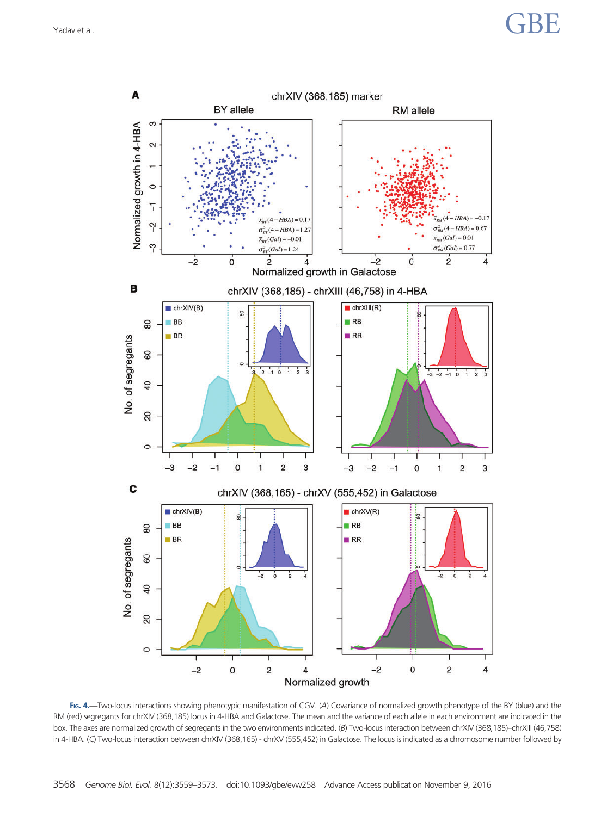<span id="page-9-0"></span>

FIG. 4.-Two-locus interactions showing phenotypic manifestation of CGV. (A) Covariance of normalized growth phenotype of the BY (blue) and the RM (red) segregants for chrXIV (368,185) locus in 4-HBA and Galactose. The mean and the variance of each allele in each environment are indicated in the box. The axes are normalized growth of segregants in the two environments indicated. (B) Two-locus interaction between chrXIV (368,185)–chrXIII (46,758) in 4-HBA. (C) Two-locus interaction between chrXIV (368,165) - chrXV (555,452) in Galactose. The locus is indicated as a chromosome number followed by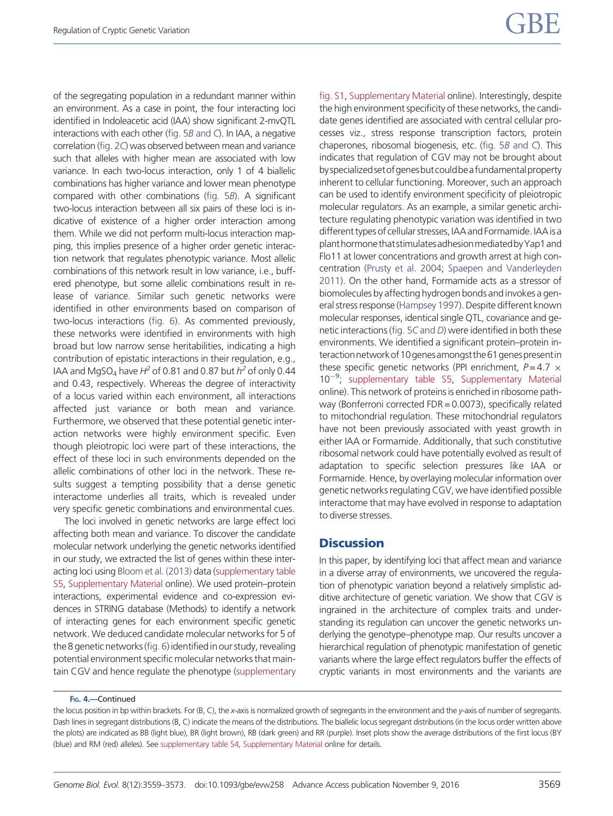of the segregating population in a redundant manner within an environment. As a case in point, the four interacting loci identified in Indoleacetic acid (IAA) show significant 2-mvQTL interactions with each other [\(fig. 5](#page-11-0)B and C). In IAA, a negative correlation [\(fig. 2](#page-6-0)C) was observed between mean and variance such that alleles with higher mean are associated with low variance. In each two-locus interaction, only 1 of 4 biallelic combinations has higher variance and lower mean phenotype compared with other combinations [\(fig. 5](#page-11-0)B). A significant two-locus interaction between all six pairs of these loci is indicative of existence of a higher order interaction among them. While we did not perform multi-locus interaction mapping, this implies presence of a higher order genetic interaction network that regulates phenotypic variance. Most allelic combinations of this network result in low variance, i.e., buffered phenotype, but some allelic combinations result in release of variance. Similar such genetic networks were identified in other environments based on comparison of two-locus interactions [\(fig. 6\)](#page-12-0). As commented previously, these networks were identified in environments with high broad but low narrow sense heritabilities, indicating a high contribution of epistatic interactions in their regulation, e.g., IAA and MgSO<sub>4</sub> have  $H^2$  of 0.81 and 0.87 but  $h^2$  of only 0.44 and 0.43, respectively. Whereas the degree of interactivity of a locus varied within each environment, all interactions affected just variance or both mean and variance. Furthermore, we observed that these potential genetic interaction networks were highly environment specific. Even though pleiotropic loci were part of these interactions, the effect of these loci in such environments depended on the allelic combinations of other loci in the network. These results suggest a tempting possibility that a dense genetic interactome underlies all traits, which is revealed under very specific genetic combinations and environmental cues.

The loci involved in genetic networks are large effect loci affecting both mean and variance. To discover the candidate molecular network underlying the genetic networks identified in our study, we extracted the list of genes within these interacting loci using [Bloom et al. \(2013\)](#page-14-0) data ([supplementary table](http://gbe.oxfordjournals.org/lookup/suppl/doi:10.1093/gbe/evw258/-/DC1) [S5](http://gbe.oxfordjournals.org/lookup/suppl/doi:10.1093/gbe/evw258/-/DC1), [Supplementary Material](http://gbe.oxfordjournals.org/lookup/suppl/doi:10.1093/gbe/evw258/-/DC1) online). We used protein–protein interactions, experimental evidence and co-expression evidences in STRING database (Methods) to identify a network of interacting genes for each environment specific genetic network. We deduced candidate molecular networks for 5 of the 8 genetic networks (fig. 6) identified in our study, revealing potential environment specific molecular networks that maintain CGV and hence regulate the phenotype ([supplementary](http://gbe.oxfordjournals.org/lookup/suppl/doi:10.1093/gbe/evw258/-/DC1) [fig. S1,](http://gbe.oxfordjournals.org/lookup/suppl/doi:10.1093/gbe/evw258/-/DC1) [Supplementary Material](http://gbe.oxfordjournals.org/lookup/suppl/doi:10.1093/gbe/evw258/-/DC1) online). Interestingly, despite the high environment specificity of these networks, the candidate genes identified are associated with central cellular processes viz., stress response transcription factors, protein chaperones, ribosomal biogenesis, etc. [\(fig. 5](#page-11-0)B and C). This indicates that regulation of CGV may not be brought about by specialized set of genes but could be a fundamental property inherent to cellular functioning. Moreover, such an approach can be used to identify environment specificity of pleiotropic molecular regulators. As an example, a similar genetic architecture regulating phenotypic variation was identified in two different types of cellular stresses, IAA and Formamide. IAA is a planthormonethatstimulatesadhesionmediatedbyYap1and Flo11 at lower concentrations and growth arrest at high concentration ([Prusty et al. 2004](#page-14-0); [Spaepen and Vanderleyden](#page-14-0) [2011\)](#page-14-0). On the other hand, Formamide acts as a stressor of biomolecules by affecting hydrogen bonds and invokes a general stress response [\(Hampsey 1997](#page-14-0)). Despite different known molecular responses, identical single QTL, covariance and genetic interactions ([fig. 5](#page-11-0)C and D) were identified in both these environments. We identified a significant protein–protein interactionnetworkof10genesamongstthe61genespresentin these specific genetic networks (PPI enrichment,  $P = 4.7 \times$ 10<sup>-9</sup>; [supplementary table S5](http://gbe.oxfordjournals.org/lookup/suppl/doi:10.1093/gbe/evw258/-/DC1), [Supplementary Material](http://gbe.oxfordjournals.org/lookup/suppl/doi:10.1093/gbe/evw258/-/DC1) online). This network of proteins is enriched in ribosome pathway (Bonferroni corrected FDR = 0.0073), specifically related to mitochondrial regulation. These mitochondrial regulators have not been previously associated with yeast growth in either IAA or Formamide. Additionally, that such constitutive ribosomal network could have potentially evolved as result of adaptation to specific selection pressures like IAA or Formamide. Hence, by overlaying molecular information over genetic networks regulating CGV, we have identified possible interactome that may have evolved in response to adaptation to diverse stresses.

# **Discussion**

In this paper, by identifying loci that affect mean and variance in a diverse array of environments, we uncovered the regulation of phenotypic variation beyond a relatively simplistic additive architecture of genetic variation. We show that CGV is ingrained in the architecture of complex traits and understanding its regulation can uncover the genetic networks underlying the genotype–phenotype map. Our results uncover a hierarchical regulation of phenotypic manifestation of genetic variants where the large effect regulators buffer the effects of cryptic variants in most environments and the variants are

FIG. 4.—Continued

the locus position in bp within brackets. For (B, C), the x-axis is normalized growth of segregants in the environment and the y-axis of number of segregants. Dash lines in segregant distributions (B, C) indicate the means of the distributions. The biallelic locus segregant distributions (in the locus order written above the plots) are indicated as BB (light blue), BR (light brown), RB (dark green) and RR (purple). Inset plots show the average distributions of the first locus (BY (blue) and RM (red) alleles). See [supplementary table S4,](http://gbe.oxfordjournals.org/lookup/suppl/doi:10.1093/gbe/evw258/-/DC1) [Supplementary Material](http://gbe.oxfordjournals.org/lookup/suppl/doi:10.1093/gbe/evw258/-/DC1) online for details.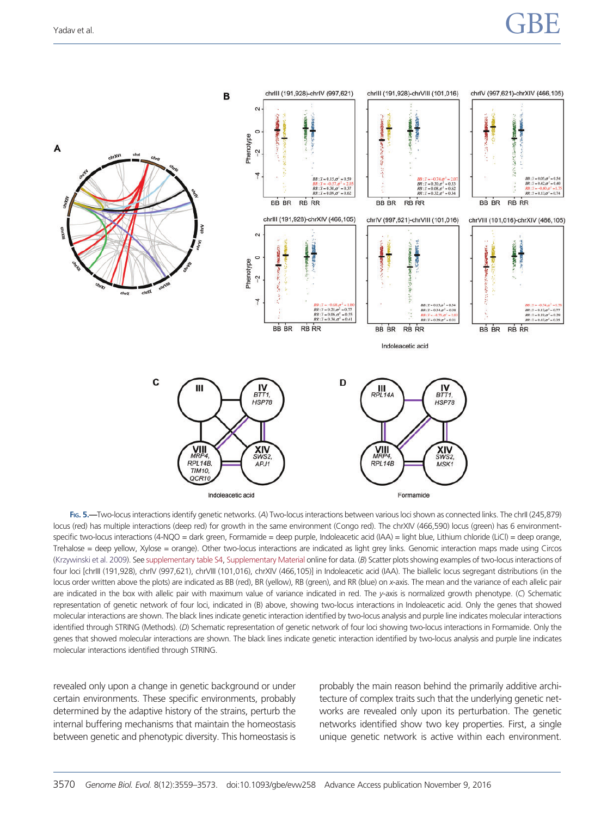<span id="page-11-0"></span>

FIG. 5.—Two-locus interactions identify genetic networks. (A) Two-locus interactions between various loci shown as connected links. The chrII (245,879) locus (red) has multiple interactions (deep red) for growth in the same environment (Congo red). The chrXIV (466,590) locus (green) has 6 environmentspecific two-locus interactions (4-NQO = dark green, Formamide = deep purple, Indoleacetic acid (IAA) = light blue, Lithium chloride (LiCl) = deep orange, Trehalose = deep yellow, Xylose = orange). Other two-locus interactions are indicated as light grey links. Genomic interaction maps made using Circos [\(Krzywinski et al. 2009](#page-14-0)). See [supplementary table S4,](http://gbe.oxfordjournals.org/lookup/suppl/doi:10.1093/gbe/evw258/-/DC1) [Supplementary Material](http://gbe.oxfordjournals.org/lookup/suppl/doi:10.1093/gbe/evw258/-/DC1) online for data. (B) Scatter plots showing examples of two-locus interactions of four loci [chrlll (191,928), chrIV (997,621), chrVlll (101,016), chrXIV (466,105)] in Indoleacetic acid (IAA). The biallelic locus segregant distributions (in the locus order written above the plots) are indicated as BB (red), BR (yellow), RB (green), and RR (blue) on x-axis. The mean and the variance of each allelic pair are indicated in the box with allelic pair with maximum value of variance indicated in red. The y-axis is normalized growth phenotype. (C) Schematic representation of genetic network of four loci, indicated in (B) above, showing two-locus interactions in Indoleacetic acid. Only the genes that showed molecular interactions are shown. The black lines indicate genetic interaction identified by two-locus analysis and purple line indicates molecular interactions identified through STRING (Methods). (D) Schematic representation of genetic network of four loci showing two-locus interactions in Formamide. Only the genes that showed molecular interactions are shown. The black lines indicate genetic interaction identified by two-locus analysis and purple line indicates molecular interactions identified through STRING.

revealed only upon a change in genetic background or under certain environments. These specific environments, probably determined by the adaptive history of the strains, perturb the internal buffering mechanisms that maintain the homeostasis between genetic and phenotypic diversity. This homeostasis is probably the main reason behind the primarily additive architecture of complex traits such that the underlying genetic networks are revealed only upon its perturbation. The genetic networks identified show two key properties. First, a single unique genetic network is active within each environment.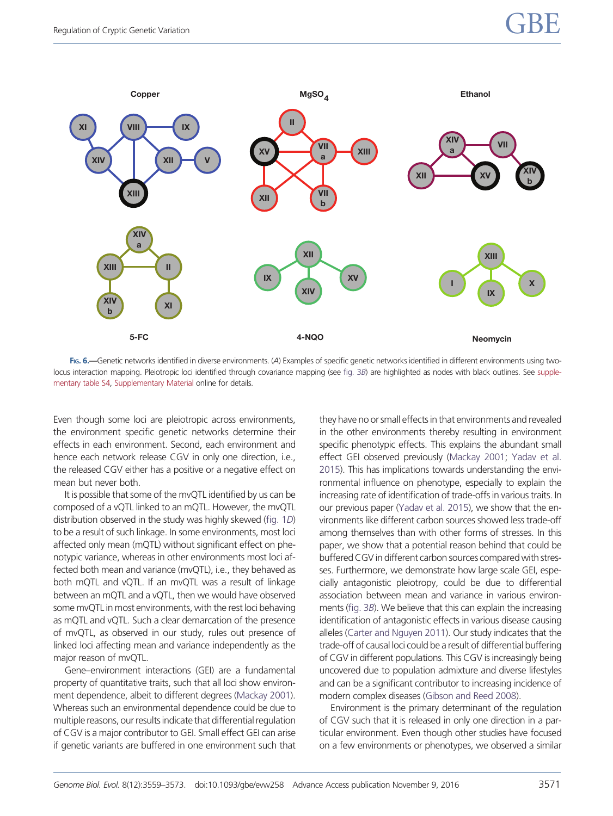<span id="page-12-0"></span>

FIG. 6.—Genetic networks identified in diverse environments. (A) Examples of specific genetic networks identified in different environments using twolocus interaction mapping. Pleiotropic loci identified through covariance mapping (see [fig. 3](#page-7-0)B) are highlighted as nodes with black outlines. See [supple](http://gbe.oxfordjournals.org/lookup/suppl/doi:10.1093/gbe/evw258/-/DC1)[mentary table S4,](http://gbe.oxfordjournals.org/lookup/suppl/doi:10.1093/gbe/evw258/-/DC1) [Supplementary Material](http://gbe.oxfordjournals.org/lookup/suppl/doi:10.1093/gbe/evw258/-/DC1) online for details.

Even though some loci are pleiotropic across environments, the environment specific genetic networks determine their effects in each environment. Second, each environment and hence each network release CGV in only one direction, i.e., the released CGV either has a positive or a negative effect on mean but never both.

It is possible that some of the mvQTL identified by us can be composed of a vQTL linked to an mQTL. However, the mvQTL distribution observed in the study was highly skewed ([fig. 1](#page-5-0)D) to be a result of such linkage. In some environments, most loci affected only mean (mQTL) without significant effect on phenotypic variance, whereas in other environments most loci affected both mean and variance (mvQTL), i.e., they behaved as both mQTL and vQTL. If an mvQTL was a result of linkage between an mQTL and a vQTL, then we would have observed some mvQTL in most environments, with the rest loci behaving as mQTL and vQTL. Such a clear demarcation of the presence of mvQTL, as observed in our study, rules out presence of linked loci affecting mean and variance independently as the major reason of mvQTL.

Gene–environment interactions (GEI) are a fundamental property of quantitative traits, such that all loci show environment dependence, albeit to different degrees [\(Mackay 2001](#page-14-0)). Whereas such an environmental dependence could be due to multiple reasons, our results indicate that differential regulation of CGV is a major contributor to GEI. Small effect GEI can arise if genetic variants are buffered in one environment such that they have no or small effects in that environments and revealed in the other environments thereby resulting in environment specific phenotypic effects. This explains the abundant small effect GEI observed previously ([Mackay 2001;](#page-14-0) [Yadav et al.](#page-14-0) [2015](#page-14-0)). This has implications towards understanding the environmental influence on phenotype, especially to explain the increasing rate of identification of trade-offs in various traits. In our previous paper [\(Yadav et al. 2015](#page-14-0)), we show that the environments like different carbon sources showed less trade-off among themselves than with other forms of stresses. In this paper, we show that a potential reason behind that could be buffered CGV in different carbon sources compared with stresses. Furthermore, we demonstrate how large scale GEI, especially antagonistic pleiotropy, could be due to differential association between mean and variance in various environments ([fig. 3](#page-7-0)B). We believe that this can explain the increasing identification of antagonistic effects in various disease causing alleles ([Carter and Nguyen 2011](#page-14-0)). Our study indicates that the trade-off of causal loci could be a result of differential buffering of CGV in different populations. This CGV is increasingly being uncovered due to population admixture and diverse lifestyles and can be a significant contributor to increasing incidence of modern complex diseases ([Gibson and Reed 2008\)](#page-14-0).

Environment is the primary determinant of the regulation of CGV such that it is released in only one direction in a particular environment. Even though other studies have focused on a few environments or phenotypes, we observed a similar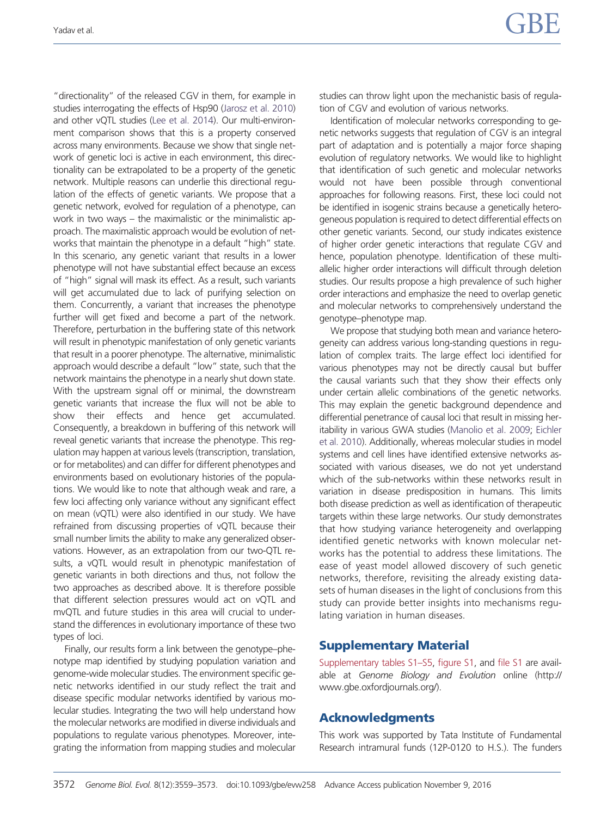"directionality" of the released CGV in them, for example in studies interrogating the effects of Hsp90 [\(Jarosz et al. 2010\)](#page-14-0) and other vQTL studies [\(Lee et al. 2014](#page-14-0)). Our multi-environment comparison shows that this is a property conserved across many environments. Because we show that single network of genetic loci is active in each environment, this directionality can be extrapolated to be a property of the genetic network. Multiple reasons can underlie this directional regulation of the effects of genetic variants. We propose that a genetic network, evolved for regulation of a phenotype, can work in two ways – the maximalistic or the minimalistic approach. The maximalistic approach would be evolution of networks that maintain the phenotype in a default "high" state. In this scenario, any genetic variant that results in a lower phenotype will not have substantial effect because an excess of "high" signal will mask its effect. As a result, such variants will get accumulated due to lack of purifying selection on them. Concurrently, a variant that increases the phenotype further will get fixed and become a part of the network. Therefore, perturbation in the buffering state of this network will result in phenotypic manifestation of only genetic variants that result in a poorer phenotype. The alternative, minimalistic approach would describe a default "low" state, such that the network maintains the phenotype in a nearly shut down state. With the upstream signal off or minimal, the downstream genetic variants that increase the flux will not be able to show their effects and hence get accumulated. Consequently, a breakdown in buffering of this network will reveal genetic variants that increase the phenotype. This regulation may happen at various levels (transcription, translation, or for metabolites) and can differ for different phenotypes and environments based on evolutionary histories of the populations. We would like to note that although weak and rare, a few loci affecting only variance without any significant effect on mean (vQTL) were also identified in our study. We have refrained from discussing properties of vQTL because their small number limits the ability to make any generalized observations. However, as an extrapolation from our two-QTL results, a vQTL would result in phenotypic manifestation of genetic variants in both directions and thus, not follow the two approaches as described above. It is therefore possible that different selection pressures would act on vQTL and mvQTL and future studies in this area will crucial to understand the differences in evolutionary importance of these two types of loci.

Finally, our results form a link between the genotype–phenotype map identified by studying population variation and genome-wide molecular studies. The environment specific genetic networks identified in our study reflect the trait and disease specific modular networks identified by various molecular studies. Integrating the two will help understand how the molecular networks are modified in diverse individuals and populations to regulate various phenotypes. Moreover, integrating the information from mapping studies and molecular studies can throw light upon the mechanistic basis of regulation of CGV and evolution of various networks.

Identification of molecular networks corresponding to genetic networks suggests that regulation of CGV is an integral part of adaptation and is potentially a major force shaping evolution of regulatory networks. We would like to highlight that identification of such genetic and molecular networks would not have been possible through conventional approaches for following reasons. First, these loci could not be identified in isogenic strains because a genetically heterogeneous population is required to detect differential effects on other genetic variants. Second, our study indicates existence of higher order genetic interactions that regulate CGV and hence, population phenotype. Identification of these multiallelic higher order interactions will difficult through deletion studies. Our results propose a high prevalence of such higher order interactions and emphasize the need to overlap genetic and molecular networks to comprehensively understand the genotype–phenotype map.

We propose that studying both mean and variance heterogeneity can address various long-standing questions in regulation of complex traits. The large effect loci identified for various phenotypes may not be directly causal but buffer the causal variants such that they show their effects only under certain allelic combinations of the genetic networks. This may explain the genetic background dependence and differential penetrance of causal loci that result in missing heritability in various GWA studies ([Manolio et al. 2009](#page-14-0); [Eichler](#page-14-0) [et al. 2010\)](#page-14-0). Additionally, whereas molecular studies in model systems and cell lines have identified extensive networks associated with various diseases, we do not yet understand which of the sub-networks within these networks result in variation in disease predisposition in humans. This limits both disease prediction as well as identification of therapeutic targets within these large networks. Our study demonstrates that how studying variance heterogeneity and overlapping identified genetic networks with known molecular networks has the potential to address these limitations. The ease of yeast model allowed discovery of such genetic networks, therefore, revisiting the already existing datasets of human diseases in the light of conclusions from this study can provide better insights into mechanisms regulating variation in human diseases.

# Supplementary Material

[Supplementary tables S1–S5](http://gbe.oxfordjournals.org/lookup/suppl/doi:10.1093/gbe/evw258/-/DC1), [figure S1,](http://gbe.oxfordjournals.org/lookup/suppl/doi:10.1093/gbe/evw258/-/DC1) and [file S1](http://gbe.oxfordjournals.org/lookup/suppl/doi:10.1093/gbe/evw258/-/DC1) are available at Genome Biology and Evolution online (http:// www.gbe.oxfordjournals.org/).

# Acknowledgments

This work was supported by Tata Institute of Fundamental Research intramural funds (12P-0120 to H.S.). The funders